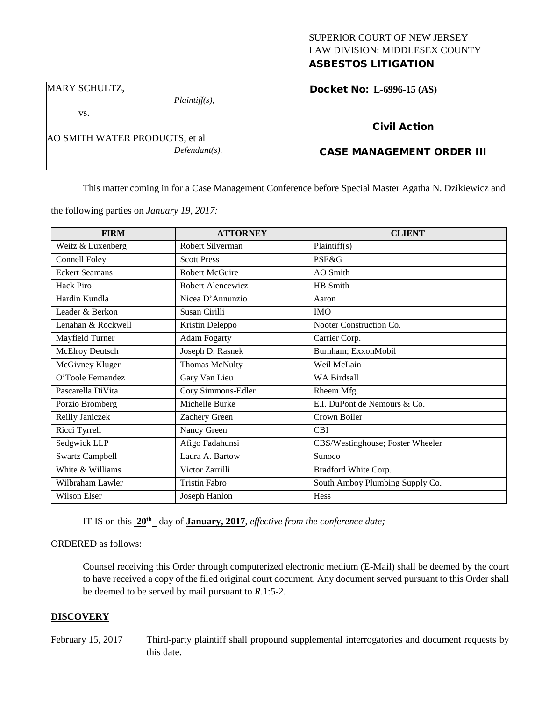# SUPERIOR COURT OF NEW JERSEY LAW DIVISION: MIDDLESEX COUNTY ASBESTOS LITIGATION

Docket No: **L-6996-15 (AS)** 

### MARY SCHULTZ,

vs.

*Plaintiff(s),*

*Defendant(s).*

Civil Action

# CASE MANAGEMENT ORDER III

This matter coming in for a Case Management Conference before Special Master Agatha N. Dzikiewicz and

the following parties on *January 19, 2017:*

AO SMITH WATER PRODUCTS, et al

| <b>FIRM</b>            | <b>ATTORNEY</b>       | <b>CLIENT</b>                    |
|------------------------|-----------------------|----------------------------------|
| Weitz & Luxenberg      | Robert Silverman      | Plaintiff(s)                     |
| Connell Foley          | <b>Scott Press</b>    | <b>PSE&amp;G</b>                 |
| <b>Eckert Seamans</b>  | <b>Robert McGuire</b> | AO Smith                         |
| Hack Piro              | Robert Alencewicz     | HB Smith                         |
| Hardin Kundla          | Nicea D'Annunzio      | Aaron                            |
| Leader & Berkon        | Susan Cirilli         | <b>IMO</b>                       |
| Lenahan & Rockwell     | Kristin Deleppo       | Nooter Construction Co.          |
| Mayfield Turner        | <b>Adam Fogarty</b>   | Carrier Corp.                    |
| <b>McElroy Deutsch</b> | Joseph D. Rasnek      | Burnham; ExxonMobil              |
| McGivney Kluger        | Thomas McNulty        | Weil McLain                      |
| O'Toole Fernandez      | Gary Van Lieu         | <b>WA Birdsall</b>               |
| Pascarella DiVita      | Cory Simmons-Edler    | Rheem Mfg.                       |
| Porzio Bromberg        | Michelle Burke        | E.I. DuPont de Nemours & Co.     |
| Reilly Janiczek        | Zachery Green         | Crown Boiler                     |
| Ricci Tyrrell          | Nancy Green           | <b>CBI</b>                       |
| Sedgwick LLP           | Afigo Fadahunsi       | CBS/Westinghouse; Foster Wheeler |
| <b>Swartz Campbell</b> | Laura A. Bartow       | Sunoco                           |
| White & Williams       | Victor Zarrilli       | Bradford White Corp.             |
| Wilbraham Lawler       | <b>Tristin Fabro</b>  | South Amboy Plumbing Supply Co.  |
| Wilson Elser           | Joseph Hanlon         | Hess                             |

IT IS on this  $20^{\text{th}}$  day of **January, 2017**, *effective from the conference date*;

ORDERED as follows:

Counsel receiving this Order through computerized electronic medium (E-Mail) shall be deemed by the court to have received a copy of the filed original court document. Any document served pursuant to this Order shall be deemed to be served by mail pursuant to *R*.1:5-2.

## **DISCOVERY**

February 15, 2017 Third-party plaintiff shall propound supplemental interrogatories and document requests by this date.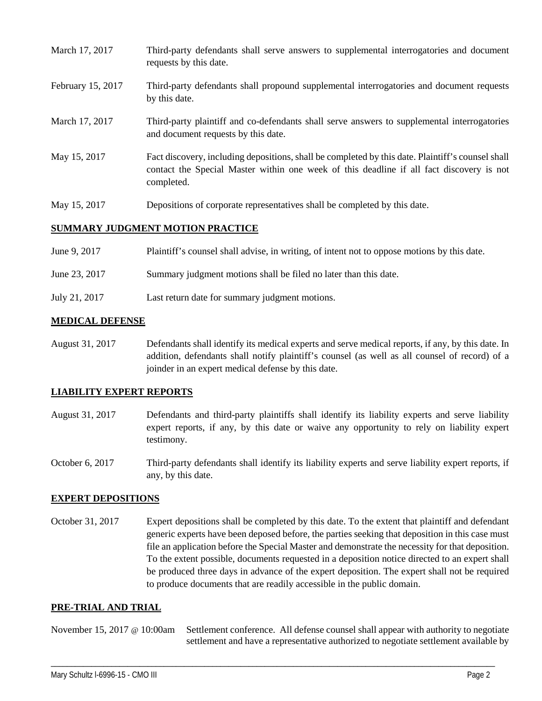- March 17, 2017 Third-party defendants shall serve answers to supplemental interrogatories and document requests by this date.
- February 15, 2017 Third-party defendants shall propound supplemental interrogatories and document requests by this date.
- March 17, 2017 Third-party plaintiff and co-defendants shall serve answers to supplemental interrogatories and document requests by this date.
- May 15, 2017 Fact discovery, including depositions, shall be completed by this date. Plaintiff's counsel shall contact the Special Master within one week of this deadline if all fact discovery is not completed.
- May 15, 2017 Depositions of corporate representatives shall be completed by this date.

### **SUMMARY JUDGMENT MOTION PRACTICE**

| June 9, 2017  | Plaintiff's counsel shall advise, in writing, of intent not to oppose motions by this date. |
|---------------|---------------------------------------------------------------------------------------------|
| June 23, 2017 | Summary judgment motions shall be filed no later than this date.                            |
| July 21, 2017 | Last return date for summary judgment motions.                                              |

## **MEDICAL DEFENSE**

August 31, 2017 Defendants shall identify its medical experts and serve medical reports, if any, by this date. In addition, defendants shall notify plaintiff's counsel (as well as all counsel of record) of a joinder in an expert medical defense by this date.

## **LIABILITY EXPERT REPORTS**

- August 31, 2017 Defendants and third-party plaintiffs shall identify its liability experts and serve liability expert reports, if any, by this date or waive any opportunity to rely on liability expert testimony.
- October 6, 2017 Third-party defendants shall identify its liability experts and serve liability expert reports, if any, by this date.

#### **EXPERT DEPOSITIONS**

October 31, 2017 Expert depositions shall be completed by this date. To the extent that plaintiff and defendant generic experts have been deposed before, the parties seeking that deposition in this case must file an application before the Special Master and demonstrate the necessity for that deposition. To the extent possible, documents requested in a deposition notice directed to an expert shall be produced three days in advance of the expert deposition. The expert shall not be required to produce documents that are readily accessible in the public domain.

#### **PRE-TRIAL AND TRIAL**

November 15, 2017 @ 10:00am Settlement conference. All defense counsel shall appear with authority to negotiate settlement and have a representative authorized to negotiate settlement available by

\_\_\_\_\_\_\_\_\_\_\_\_\_\_\_\_\_\_\_\_\_\_\_\_\_\_\_\_\_\_\_\_\_\_\_\_\_\_\_\_\_\_\_\_\_\_\_\_\_\_\_\_\_\_\_\_\_\_\_\_\_\_\_\_\_\_\_\_\_\_\_\_\_\_\_\_\_\_\_\_\_\_\_\_\_\_\_\_\_\_\_\_\_\_\_\_\_\_\_\_\_\_\_\_\_\_\_\_\_\_